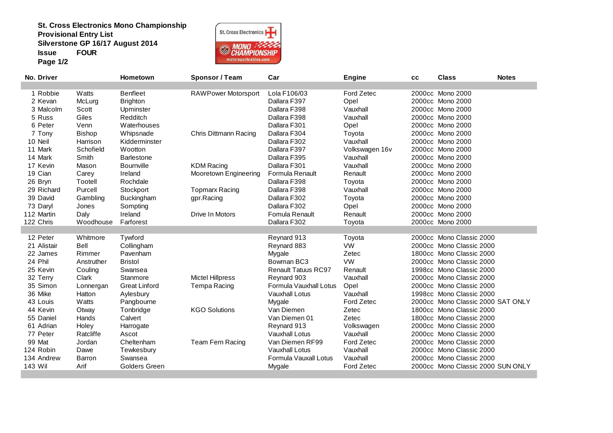**St. Cross Electronics Mono ChampionshipProvisional Entry List Silverstone GP 16/17 August 2014Issue FOURPage 1/2**



| No. Driver  |               | Hometown             | Sponsor / Team             | Car                        | <b>Engine</b>  | CC | <b>Class</b>                      | <b>Notes</b> |
|-------------|---------------|----------------------|----------------------------|----------------------------|----------------|----|-----------------------------------|--------------|
|             |               |                      |                            |                            |                |    |                                   |              |
| 1 Robbie    | Watts         | <b>Benfleet</b>      | <b>RAWPower Motorsport</b> | Lola F106/03               | Ford Zetec     |    | 2000cc Mono 2000                  |              |
| 2 Kevan     | McLurg        | <b>Brighton</b>      |                            | Dallara F397               | Opel           |    | 2000cc Mono 2000                  |              |
| 3 Malcolm   | Scott         | Upminster            |                            | Dallara F398               | Vauxhall       |    | 2000cc Mono 2000                  |              |
| 5 Russ      | Giles         | Redditch             |                            | Dallara F398               | Vauxhall       |    | 2000cc Mono 2000                  |              |
| 6 Peter     | Venn          | Waterhouses          |                            | Dallara F301               | Opel           |    | 2000cc Mono 2000                  |              |
| 7 Tony      | <b>Bishop</b> | Whipsnade            | Chris Dittmann Racing      | Dallara F304               | Toyota         |    | 2000cc Mono 2000                  |              |
| 10 Neil     | Harrison      | Kidderminster        |                            | Dallara F302               | Vauxhall       |    | 2000cc Mono 2000                  |              |
| 11 Mark     | Schofield     | Wootton              |                            | Dallara F397               | Volkswagen 16v |    | 2000cc Mono 2000                  |              |
| 14 Mark     | Smith         | <b>Barlestone</b>    |                            | Dallara F395               | Vauxhall       |    | 2000cc Mono 2000                  |              |
| 17 Kevin    | Mason         | Bournville           | <b>KDM Racing</b>          | Dallara F301               | Vauxhall       |    | 2000cc Mono 2000                  |              |
| 19 Cian     | Carey         | Ireland              | Mooretown Engineering      | Formula Renault            | Renault        |    | 2000cc Mono 2000                  |              |
| 26 Bryn     | Tootell       | Rochdale             |                            | Dallara F398               | Toyota         |    | 2000cc Mono 2000                  |              |
| 29 Richard  | Purcell       | Stockport            | <b>Topmarx Racing</b>      | Dallara F398               | Vauxhall       |    | 2000cc Mono 2000                  |              |
| 39 David    | Gambling      | <b>Buckingham</b>    | gpr.Racing                 | Dallara F302               | Toyota         |    | 2000cc Mono 2000                  |              |
| 73 Daryl    | Jones         | Sompting             |                            | Dallara F302               | Opel           |    | 2000cc Mono 2000                  |              |
| 112 Martin  | Daly          | Ireland              | Drive In Motors            | Fomula Renault             | Renault        |    | 2000cc Mono 2000                  |              |
| 122 Chris   | Woodhouse     | Farforest            |                            | Dallara F302               | Toyota         |    | 2000cc Mono 2000                  |              |
|             |               |                      |                            |                            |                |    |                                   |              |
| 12 Peter    | Whitmore      | Tywford              |                            | Reynard 913                | Toyota         |    | 2000cc Mono Classic 2000          |              |
| 21 Alistair | Bell          | Collingham           |                            | Reynard 883                | <b>VW</b>      |    | 2000cc Mono Classic 2000          |              |
| 22 James    | Rimmer        | Pavenham             |                            | Mygale                     | Zetec          |    | 1800cc Mono Classic 2000          |              |
| 24 Phil     | Anstruther    | <b>Bristol</b>       |                            | Bowman BC3                 | VW             |    | 2000cc Mono Classic 2000          |              |
| 25 Kevin    | Couling       | Swansea              |                            | <b>Renault Tatuus RC97</b> | Renault        |    | 1998cc Mono Classic 2000          |              |
| 32 Terry    | Clark         | Stanmore             | <b>Mictel Hillpress</b>    | Reynard 903                | Vauxhall       |    | 2000cc Mono Classic 2000          |              |
| 35 Simon    | Lonnergan     | <b>Great Linford</b> | Tempa Racing               | Formula Vauxhall Lotus     | Opel           |    | 2000cc Mono Classic 2000          |              |
| 36 Mike     | Hatton        | Aylesbury            |                            | Vauxhall Lotus             | Vauxhall       |    | 1998cc Mono Classic 2000          |              |
| 43 Louis    | Watts         | Pangbourne           |                            | Mygale                     | Ford Zetec     |    | 2000cc Mono Classic 2000 SAT ONLY |              |
| 44 Kevin    | Otway         | Tonbridge            | <b>KGO Solutions</b>       | Van Diemen                 | Zetec          |    | 1800cc Mono Classic 2000          |              |
| 55 Daniel   | Hands         | Calvert              |                            | Van Diemen 01              | Zetec          |    | 1800cc Mono Classic 2000          |              |
| 61 Adrian   | Holey         | Harrogate            |                            | Reynard 913                | Volkswagen     |    | 2000cc Mono Classic 2000          |              |
| 77 Peter    | Ratcliffe     | Ascot                |                            | <b>Vauxhall Lotus</b>      | Vauxhall       |    | 2000cc Mono Classic 2000          |              |
| 99 Mat      | Jordan        | Cheltenham           | Team Fern Racing           | Van Diemen RF99            | Ford Zetec     |    | 2000cc Mono Classic 2000          |              |
| 124 Robin   | Dawe          | Tewkesbury           |                            | <b>Vauxhall Lotus</b>      | Vauxhall       |    | 2000cc Mono Classic 2000          |              |
| 134 Andrew  | Barron        | Swansea              |                            | Formula Vauxall Lotus      | Vauxhall       |    | 2000cc Mono Classic 2000          |              |
| 143 Wil     | Arif          | <b>Golders Green</b> |                            | Mygale                     | Ford Zetec     |    | 2000cc Mono Classic 2000 SUN ONLY |              |
|             |               |                      |                            |                            |                |    |                                   |              |